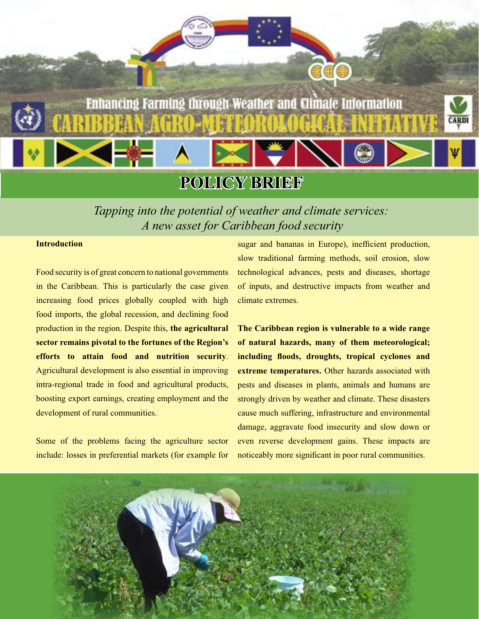

*Tapping into the potential of weather and climate services: A new asset for Caribbean food security*

#### **Introduction**

Food security is of great concern to national governments in the Caribbean. This is particularly the case given increasing food prices globally coupled with high food imports, the global recession, and declining food production in the region. Despite this, **the agricultural sector remains pivotal to the fortunes of the Region's efforts to attain food and nutrition security**. Agricultural development is also essential in improving intra-regional trade in food and agricultural products, boosting export earnings, creating employment and the development of rural communities.

Some of the problems facing the agriculture sector include: losses in preferential markets (for example for

sugar and bananas in Europe), inefficient production, slow traditional farming methods, soil erosion, slow technological advances, pests and diseases, shortage of inputs, and destructive impacts from weather and climate extremes.

**The Caribbean region is vulnerable to a wide range of natural hazards, many of them meteorological; including floods, droughts, tropical cyclones and extreme temperatures.** Other hazards associated with pests and diseases in plants, animals and humans are strongly driven by weather and climate. These disasters cause much suffering, infrastructure and environmental damage, aggravate food insecurity and slow down or even reverse development gains. These impacts are noticeably more significant in poor rural communities.

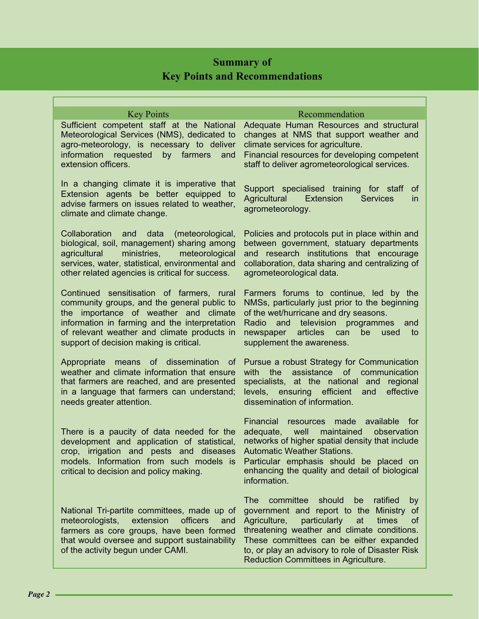## **Summary of Key Points and Recommendations**

| <b>Key Points</b>                                                                                                                                                                                                                                                            | Recommendation                                                                                                                                                                                                                                                                                                                                       |
|------------------------------------------------------------------------------------------------------------------------------------------------------------------------------------------------------------------------------------------------------------------------------|------------------------------------------------------------------------------------------------------------------------------------------------------------------------------------------------------------------------------------------------------------------------------------------------------------------------------------------------------|
| Sufficient competent staff at the National<br>Meteorological Services (NMS), dedicated to<br>agro-meteorology, is necessary to deliver<br>information requested<br>by farmers<br>and<br>extension officers.                                                                  | Adequate Human Resources and structural<br>changes at NMS that support weather and<br>climate services for agriculture.<br>Financial resources for developing competent<br>staff to deliver agrometeorological services.                                                                                                                             |
| In a changing climate it is imperative that<br>Extension agents be better equipped to<br>advise farmers on issues related to weather,<br>climate and climate change.                                                                                                         | Support specialised training for staff<br>0t<br>Agricultural<br>Extension<br><b>Services</b><br><i>in</i><br>agrometeorology.                                                                                                                                                                                                                        |
| Collaboration<br>data<br>(meteorological,<br>and<br>biological, soil, management) sharing among<br>ministries,<br>meteorological<br>agricultural<br>services, water, statistical, environmental and<br>other related agencies is critical for success.                       | Policies and protocols put in place within and<br>between government, statuary departments<br>and research institutions that encourage<br>collaboration, data sharing and centralizing of<br>agrometeorological data.                                                                                                                                |
| Continued sensitisation of farmers, rural<br>community groups, and the general public to<br>the importance of weather and climate<br>information in farming and the interpretation<br>of relevant weather and climate products in<br>support of decision making is critical. | Farmers forums to continue, led by the<br>NMSs, particularly just prior to the beginning<br>of the wet/hurricane and dry seasons.<br>and television<br>Radio<br>programmes<br>and<br>newspaper articles<br>can<br>be<br>used<br>to<br>supplement the awareness.                                                                                      |
| Appropriate<br>means of dissemination of<br>weather and climate information that ensure<br>that farmers are reached, and are presented<br>in a language that farmers can understand;<br>needs greater attention.                                                             | Pursue a robust Strategy for Communication<br>the<br>assistance<br>communication<br>with<br><sub>of</sub><br>specialists, at the national<br>and<br>regional<br>efficient<br>effective<br>levels, ensuring<br>and<br>dissemination of information.                                                                                                   |
| There is a paucity of data needed for the<br>development and application of statistical,<br>crop, irrigation and pests and diseases<br>models. Information from such models is<br>critical to decision and policy making.                                                    | Financial<br>available for<br>made<br>resources<br>maintained<br>adequate,<br>well<br>observation<br>networks of higher spatial density that include<br><b>Automatic Weather Stations.</b><br>Particular emphasis should be placed on<br>enhancing the quality and detail of biological<br>information.                                              |
| National Tri-partite committees, made up of<br>meteorologists,<br>extension<br>officers<br>and<br>farmers as core groups, have been formed<br>that would oversee and support sustainability<br>of the activity begun under CAMI.                                             | <b>The</b><br>committee should<br>ratified<br>be<br>by<br>government and report to the Ministry of<br>Agriculture,<br>particularly<br>times<br>at<br><b>of</b><br>threatening weather and climate conditions.<br>These committees can be either expanded<br>to, or play an advisory to role of Disaster Risk<br>Reduction Committees in Agriculture. |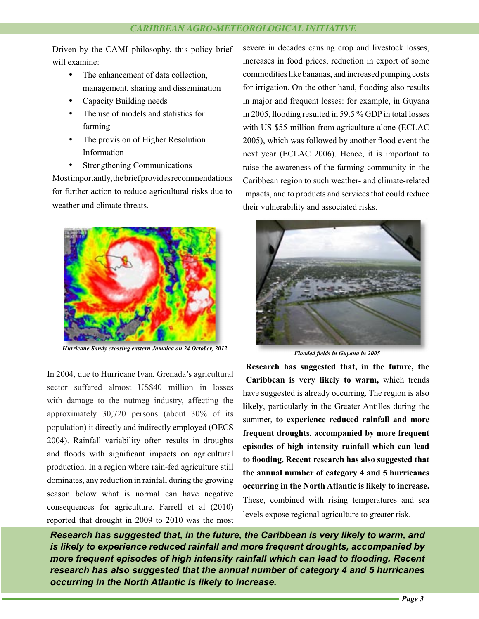Driven by the CAMI philosophy, this policy brief will examine:

- The enhancement of data collection. management, sharing and dissemination
- Capacity Building needs
- The use of models and statistics for farming
- The provision of Higher Resolution Information
- **Strengthening Communications**

Most importantly, the brief provides recommendations for further action to reduce agricultural risks due to weather and climate threats.



*Hurricane Sandy crossing eastern Jamaica on 24 October, 2012*

In 2004, due to Hurricane Ivan, Grenada's agricultural sector suffered almost US\$40 million in losses with damage to the nutmeg industry, affecting the approximately 30,720 persons (about 30% of its population) it directly and indirectly employed (OECS 2004). Rainfall variability often results in droughts and floods with significant impacts on agricultural production. In a region where rain-fed agriculture still dominates, any reduction in rainfall during the growing season below what is normal can have negative consequences for agriculture. Farrell et al (2010) reported that drought in 2009 to 2010 was the most severe in decades causing crop and livestock losses, increases in food prices, reduction in export of some commodities like bananas, and increased pumping costs for irrigation. On the other hand, flooding also results in major and frequent losses: for example, in Guyana in 2005, flooding resulted in 59.5 % GDP in total losses with US \$55 million from agriculture alone (ECLAC 2005), which was followed by another flood event the next year (ECLAC 2006). Hence, it is important to raise the awareness of the farming community in the Caribbean region to such weather- and climate-related impacts, and to products and services that could reduce their vulnerability and associated risks.



*Flooded fields in Guyana in 2005*

**Research has suggested that, in the future, the Caribbean is very likely to warm,** which trends have suggested is already occurring. The region is also **likely**, particularly in the Greater Antilles during the summer, **to experience reduced rainfall and more frequent droughts, accompanied by more frequent episodes of high intensity rainfall which can lead to flooding. Recent research has also suggested that the annual number of category 4 and 5 hurricanes occurring in the North Atlantic is likely to increase.** These, combined with rising temperatures and sea levels expose regional agriculture to greater risk.

*Research has suggested that, in the future, the Caribbean is very likely to warm, and is likely to experience reduced rainfall and more frequent droughts, accompanied by more frequent episodes of high intensity rainfall which can lead to flooding. Recent research has also suggested that the annual number of category 4 and 5 hurricanes occurring in the North Atlantic is likely to increase.*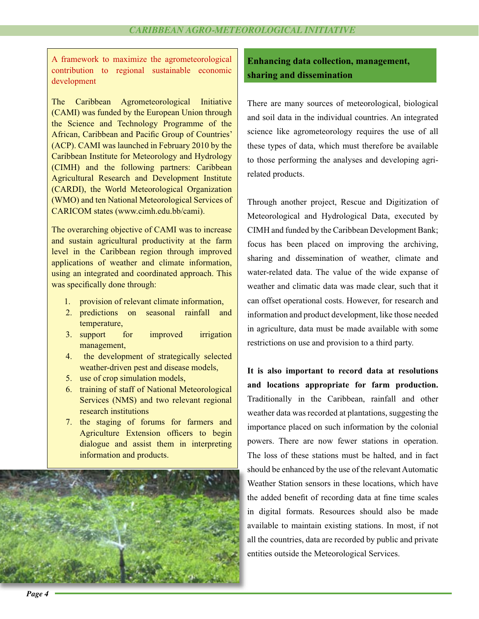A framework to maximize the agrometeorological contribution to regional sustainable economic development

The Caribbean Agrometeorological Initiative (CAMI) was funded by the European Union through the Science and Technology Programme of the African, Caribbean and Pacific Group of Countries' (ACP). CAMI was launched in February 2010 by the Caribbean Institute for Meteorology and Hydrology (CIMH) and the following partners: Caribbean Agricultural Research and Development Institute (CARDI), the World Meteorological Organization (WMO) and ten National Meteorological Services of CARICOM states (www.cimh.edu.bb/cami).

The overarching objective of CAMI was to increase and sustain agricultural productivity at the farm level in the Caribbean region through improved applications of weather and climate information, using an integrated and coordinated approach. This was specifically done through:

- 1. provision of relevant climate information,
- 2. predictions on seasonal rainfall and temperature,
- 3. support for improved irrigation management,
- 4. the development of strategically selected weather-driven pest and disease models,
- 5. use of crop simulation models,
- 6. training of staff of National Meteorological Services (NMS) and two relevant regional research institutions
- 7. the staging of forums for farmers and Agriculture Extension officers to begin dialogue and assist them in interpreting information and products.



**Enhancing data collection, management, sharing and dissemination** 

There are many sources of meteorological, biological and soil data in the individual countries. An integrated science like agrometeorology requires the use of all these types of data, which must therefore be available to those performing the analyses and developing agrirelated products.

Through another project, Rescue and Digitization of Meteorological and Hydrological Data, executed by CIMH and funded by the Caribbean Development Bank; focus has been placed on improving the archiving, sharing and dissemination of weather, climate and water-related data. The value of the wide expanse of weather and climatic data was made clear, such that it can offset operational costs. However, for research and information and product development, like those needed in agriculture, data must be made available with some restrictions on use and provision to a third party.

**It is also important to record data at resolutions and locations appropriate for farm production.** Traditionally in the Caribbean, rainfall and other weather data was recorded at plantations, suggesting the importance placed on such information by the colonial powers. There are now fewer stations in operation. The loss of these stations must be halted, and in fact should be enhanced by the use of the relevant Automatic sh Weather Station sensors in these locations, which have We the added benefit of recording data at fine time scales in digital formats. Resources should also be made in available to maintain existing stations. In most, if not av all the countries, data are recorded by public and private al entities outside the Meteorological Services.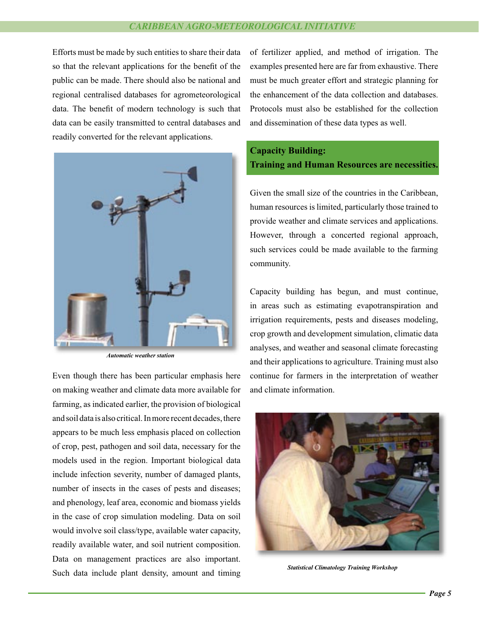### *CARIBBEAN AGRO-METEOROLOGICAL INITIATIVE*

Efforts must be made by such entities to share their data so that the relevant applications for the benefit of the public can be made. There should also be national and regional centralised databases for agrometeorological data. The benefit of modern technology is such that data can be easily transmitted to central databases and readily converted for the relevant applications.



*Automatic weather station*

Even though there has been particular emphasis here on making weather and climate data more available for farming, as indicated earlier, the provision of biological and soil data is also critical. In more recent decades, there appears to be much less emphasis placed on collection of crop, pest, pathogen and soil data, necessary for the models used in the region. Important biological data include infection severity, number of damaged plants, number of insects in the cases of pests and diseases; and phenology, leaf area, economic and biomass yields in the case of crop simulation modeling. Data on soil would involve soil class/type, available water capacity, readily available water, and soil nutrient composition. Data on management practices are also important. Such data include plant density, amount and timing of fertilizer applied, and method of irrigation. The examples presented here are far from exhaustive. There must be much greater effort and strategic planning for the enhancement of the data collection and databases. Protocols must also be established for the collection and dissemination of these data types as well.

## **Capacity Building: Training and Human Resources are necessities.**

Given the small size of the countries in the Caribbean, human resources is limited, particularly those trained to provide weather and climate services and applications. However, through a concerted regional approach, such services could be made available to the farming community.

Capacity building has begun, and must continue, in areas such as estimating evapotranspiration and irrigation requirements, pests and diseases modeling, crop growth and development simulation, climatic data analyses, and weather and seasonal climate forecasting and their applications to agriculture. Training must also continue for farmers in the interpretation of weather and climate information.



*Statistical Climatology Training Workshop*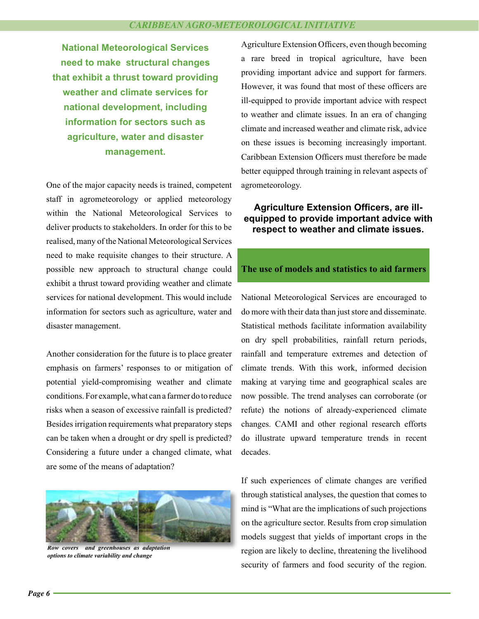**National Meteorological Services need to make structural changes that exhibit a thrust toward providing weather and climate services for national development, including information for sectors such as agriculture, water and disaster management.**

One of the major capacity needs is trained, competent staff in agrometeorology or applied meteorology within the National Meteorological Services to deliver products to stakeholders. In order for this to be realised, many of the National Meteorological Services need to make requisite changes to their structure. A possible new approach to structural change could exhibit a thrust toward providing weather and climate services for national development. This would include information for sectors such as agriculture, water and disaster management.

Another consideration for the future is to place greater emphasis on farmers' responses to or mitigation of potential yield-compromising weather and climate conditions. For example, what can a farmer do to reduce risks when a season of excessive rainfall is predicted? Besides irrigation requirements what preparatory steps can be taken when a drought or dry spell is predicted? Considering a future under a changed climate, what are some of the means of adaptation?



*Row covers and greenhouses as adaptation options to climate variability and change*

Agriculture Extension Officers, even though becoming a rare breed in tropical agriculture, have been providing important advice and support for farmers. However, it was found that most of these officers are ill-equipped to provide important advice with respect to weather and climate issues. In an era of changing climate and increased weather and climate risk, advice on these issues is becoming increasingly important. Caribbean Extension Officers must therefore be made better equipped through training in relevant aspects of agrometeorology.

# **equipped to provide important advice with respect to weather and climate issues.**

### **The use of models and statistics to aid farmers**

National Meteorological Services are encouraged to do more with their data than just store and disseminate. Statistical methods facilitate information availability on dry spell probabilities, rainfall return periods, rainfall and temperature extremes and detection of climate trends. With this work, informed decision making at varying time and geographical scales are now possible. The trend analyses can corroborate (or refute) the notions of already-experienced climate changes. CAMI and other regional research efforts do illustrate upward temperature trends in recent decades. **Externsion Officers, are ill-**<br> **adviced the conduction Control emportant advice with the extension officers, are ill-<br>
<b>are append to provide important advice with Meteorological Services**<br>
and Meteorological Services<br>
a

If such experiences of climate changes are verified through statistical analyses, the question that comes to mind is "What are the implications of such projections on the agriculture sector. Results from crop simulation models suggest that yields of important crops in the region are likely to decline, threatening the livelihood security of farmers and food security of the region.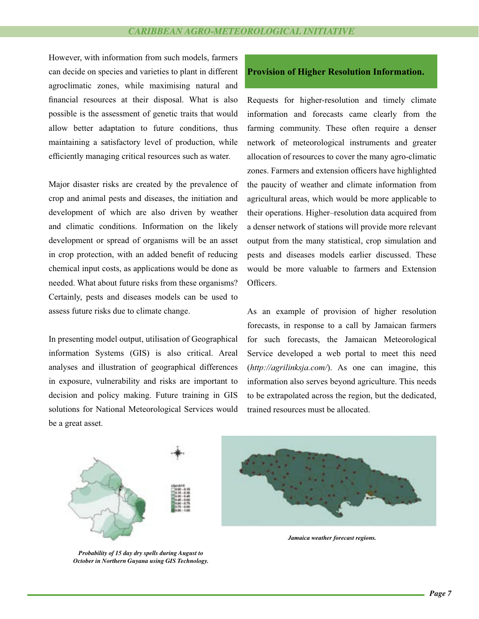However, with information from such models, farmers can decide on species and varieties to plant in different agroclimatic zones, while maximising natural and financial resources at their disposal. What is also possible is the assessment of genetic traits that would allow better adaptation to future conditions, thus maintaining a satisfactory level of production, while efficiently managing critical resources such as water.

Major disaster risks are created by the prevalence of crop and animal pests and diseases, the initiation and development of which are also driven by weather and climatic conditions. Information on the likely development or spread of organisms will be an asset in crop protection, with an added benefit of reducing chemical input costs, as applications would be done as needed. What about future risks from these organisms? Certainly, pests and diseases models can be used to assess future risks due to climate change.

In presenting model output, utilisation of Geographical information Systems (GIS) is also critical. Areal analyses and illustration of geographical differences in exposure, vulnerability and risks are important to decision and policy making. Future training in GIS solutions for National Meteorological Services would be a great asset.

### **Provision of Higher Resolution Information.**

Requests for higher-resolution and timely climate information and forecasts came clearly from the farming community. These often require a denser network of meteorological instruments and greater allocation of resources to cover the many agro-climatic zones. Farmers and extension officers have highlighted the paucity of weather and climate information from agricultural areas, which would be more applicable to their operations. Higher–resolution data acquired from a denser network of stations will provide more relevant output from the many statistical, crop simulation and pests and diseases models earlier discussed. These would be more valuable to farmers and Extension Officers.

As an example of provision of higher resolution forecasts, in response to a call by Jamaican farmers for such forecasts, the Jamaican Meteorological Service developed a web portal to meet this need (*http://agrilinksja.com/*). As one can imagine, this information also serves beyond agriculture. This needs to be extrapolated across the region, but the dedicated, trained resources must be allocated.



*Probability of 15 day dry spells during August to October in Northern Guyana using GIS Technology.*



*Jamaica weather forecast regions.*